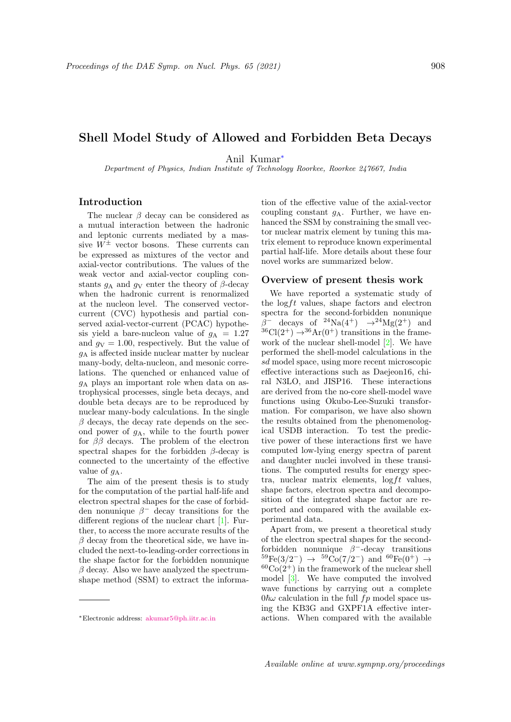# Shell Model Study of Allowed and Forbidden Beta Decays

Anil Kumar<sup>∗</sup>

Department of Physics, Indian Institute of Technology Roorkee, Roorkee 247667, India

## Introduction

The nuclear  $\beta$  decay can be considered as a mutual interaction between the hadronic and leptonic currents mediated by a massive  $W^{\pm}$  vector bosons. These currents can be expressed as mixtures of the vector and axial-vector contributions. The values of the weak vector and axial-vector coupling constants  $q_A$  and  $q_V$  enter the theory of  $\beta$ -decay when the hadronic current is renormalized at the nucleon level. The conserved vectorcurrent (CVC) hypothesis and partial conserved axial-vector-current (PCAC) hypothesis yield a bare-nucleon value of  $g_A = 1.27$ and  $q_V = 1.00$ , respectively. But the value of  $g_A$  is affected inside nuclear matter by nuclear many-body, delta-nucleon, and mesonic correlations. The quenched or enhanced value of  $g_A$  plays an important role when data on astrophysical processes, single beta decays, and double beta decays are to be reproduced by nuclear many-body calculations. In the single  $\beta$  decays, the decay rate depends on the second power of  $g_A$ , while to the fourth power for  $\beta\beta$  decays. The problem of the electron spectral shapes for the forbidden  $\beta$ -decay is connected to the uncertainty of the effective value of  $q_A$ .

The aim of the present thesis is to study for the computation of the partial half-life and electron spectral shapes for the case of forbidden nonunique  $\beta^-$  decay transitions for the different regions of the nuclear chart [1]. Further, to access the more accurate results of the  $\beta$  decay from the theoretical side, we have included the next-to-leading-order corrections in the shape factor for the forbidden nonunique  $\beta$  decay. Also we have analyzed the spectrumshape method (SSM) to extract the informa-

tion of the effective value of the axial-vector coupling constant  $g_A$ . Further, we have enhanced the SSM by constraining the small vector nuclear matrix element by tuning this matrix element to reproduce known experimental partial half-life. More details about these four novel works are summarized below.

### Overview of present thesis work

We have reported a systematic study of the  $\log ft$  values, shape factors and electron spectra for the second-forbidden nonunique  $\beta^-$  decays of <sup>24</sup>Na(4<sup>+</sup>)  $\rightarrow$ <sup>24</sup>Mg(2<sup>+</sup>) and  $36Cl(2^+) \rightarrow 36Ar(0^+)$  transitions in the framework of the nuclear shell-model [2]. We have performed the shell-model calculations in the sd model space, using more recent microscopic effective interactions such as Daejeon16, chiral N3LO, and JISP16. These interactions are derived from the no-core shell-model wave functions using Okubo-Lee-Suzuki transformation. For comparison, we have also shown the results obtained from the phenomenological USDB interaction. To test the predictive power of these interactions first we have computed low-lying energy spectra of parent and daughter nuclei involved in these transitions. The computed results for energy spectra, nuclear matrix elements,  $\log ft$  values, shape factors, electron spectra and decomposition of the integrated shape factor are reported and compared with the available experimental data.

Apart from, we present a theoretical study of the electron spectral shapes for the secondforbidden nonunique  $\beta^-$ -decay transitions  ${}^{59}Fe(3/2^-)$   $\rightarrow$   ${}^{59}Co(7/2^-)$  and  ${}^{60}Fe(0^+)$   $\rightarrow$  ${}^{60}Co(2^+)$  in the framework of the nuclear shell model [3]. We have computed the involved wave functions by carrying out a complete  $0\hbar\omega$  calculation in the full  $fp$  model space using the KB3G and GXPF1A effective interactions. When compared with the available

<sup>∗</sup>Electronic address: akumar5@ph.iitr.ac.in